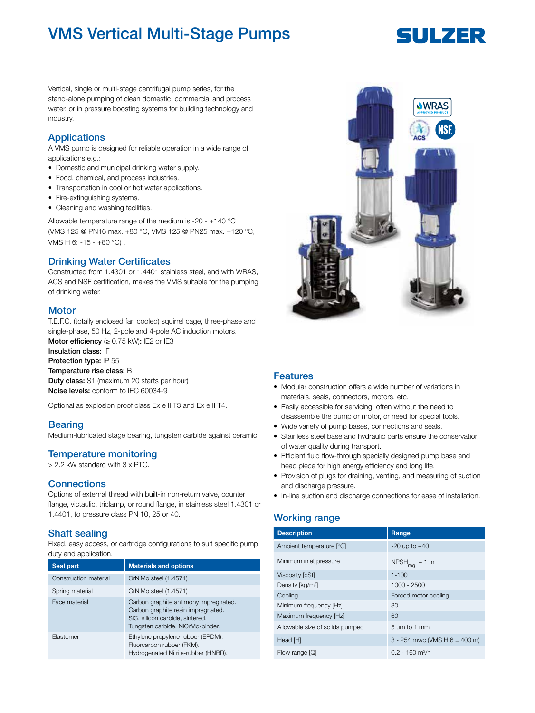# VMS Vertical Multi-Stage Pumps

# SULZER

Vertical, single or multi-stage centrifugal pump series, for the stand-alone pumping of clean domestic, commercial and process water, or in pressure boosting systems for building technology and industry.

# **Applications**

A VMS pump is designed for reliable operation in a wide range of applications e.g.:

- Domestic and municipal drinking water supply.
- Food, chemical, and process industries.
- Transportation in cool or hot water applications.
- Fire-extinguishing systems.
- Cleaning and washing facilities.

Allowable temperature range of the medium is -20 - +140 °C (VMS 125 @ PN16 max. +80 °C, VMS 125 @ PN25 max. +120 °C, VMS H 6: -15 - +80 °C) .

# Drinking Water Certificates

Constructed from 1.4301 or 1.4401 stainless steel, and with WRAS, ACS and NSF certification, makes the VMS suitable for the pumping of drinking water.

#### **Motor**

T.E.F.C. (totally enclosed fan cooled) squirrel cage, three-phase and single-phase, 50 Hz, 2-pole and 4-pole AC induction motors. Motor efficiency  $(≥ 0.75$  kW): IE2 or IE3 Insulation class: F Protection type: IP 55 Temperature rise class: B Duty class: S1 (maximum 20 starts per hour) Noise levels: conform to IEC 60034-9

Optional as explosion proof class Ex e II T3 and Ex e II T4.

#### **Bearing**

Medium-lubricated stage bearing, tungsten carbide against ceramic.

# Temperature monitoring

> 2.2 kW standard with 3 x PTC.

#### **Connections**

Options of external thread with built-in non-return valve, counter flange, victaulic, triclamp, or round flange, in stainless steel 1.4301 or 1.4401, to pressure class PN 10, 25 or 40.

#### Shaft sealing

Fixed, easy access, or cartridge configurations to suit specific pump duty and application.

| Seal part             | <b>Materials and options</b>                                                                                                                       |
|-----------------------|----------------------------------------------------------------------------------------------------------------------------------------------------|
| Construction material | CrNiMo steel (1.4571)                                                                                                                              |
| Spring material       | CrNiMo steel (1.4571)                                                                                                                              |
| Face material         | Carbon graphite antimony impregnated.<br>Carbon graphite resin impregnated.<br>SiC, silicon carbide, sintered.<br>Tungsten carbide, NiCrMo-binder. |
| Elastomer             | Ethylene propylene rubber (EPDM).<br>Fluorcarbon rubber (FKM).<br>Hydrogenated Nitrile-rubber (HNBR).                                              |



#### Features

- Modular construction offers a wide number of variations in materials, seals, connectors, motors, etc.
- Easily accessible for servicing, often without the need to disassemble the pump or motor, or need for special tools.
- Wide variety of pump bases, connections and seals.
- Stainless steel base and hydraulic parts ensure the conservation of water quality during transport.
- Efficient fluid flow-through specially designed pump base and head piece for high energy efficiency and long life.
- Provision of plugs for draining, venting, and measuring of suction and discharge pressure.
- In-line suction and discharge connections for ease of installation.

# Working range

| <b>Description</b>              | Range                             |
|---------------------------------|-----------------------------------|
| Ambient temperature [°C]        | $-20$ up to $+40$                 |
| Minimum inlet pressure          | $NPSH_{req.} + 1 m$               |
| Viscosity [cSt]                 | $1 - 100$                         |
| Density [kg/m <sup>3</sup> ]    | 1000 - 2500                       |
| Cooling                         | Forced motor cooling              |
| Minimum frequency [Hz]          | 30                                |
| Maximum frequency [Hz]          | 60                                |
| Allowable size of solids pumped | 5 µm to 1 mm                      |
| Head [H]                        | $3 - 254$ mwc (VMS H $6 = 400$ m) |
| Flow range [Q]                  | $0.2 - 160$ m <sup>3</sup> /h     |